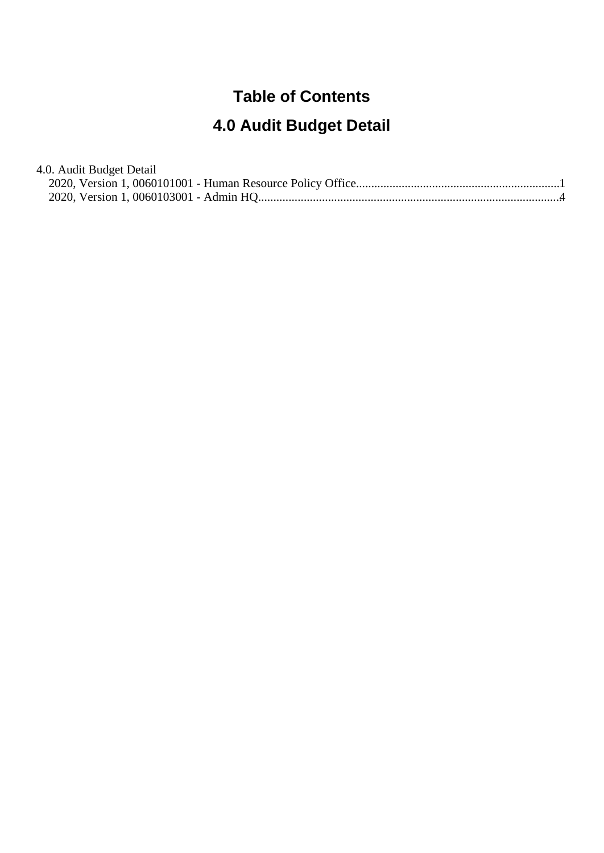#### **Table of Contents**

# **4.0 Audit Budget Detail**

| 4.0. Audit Budget Detail |  |
|--------------------------|--|
|                          |  |
|                          |  |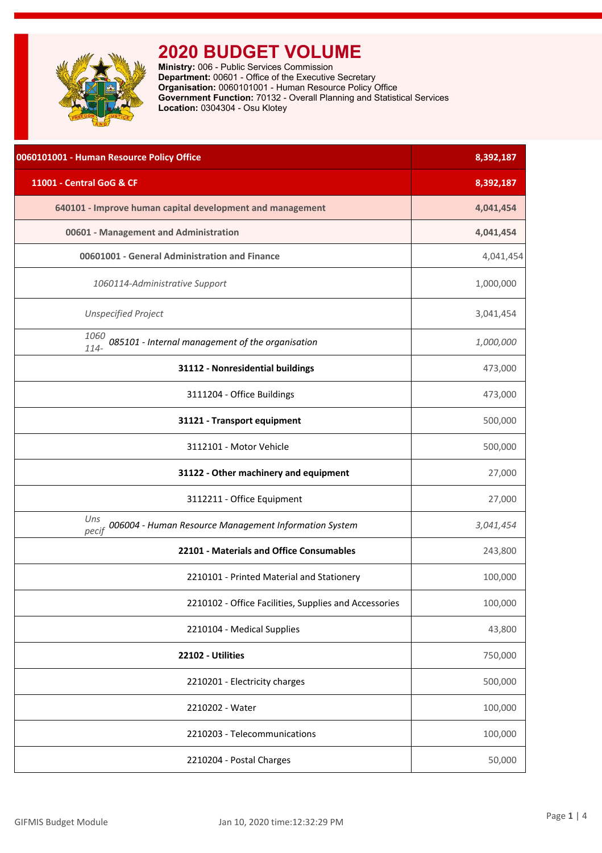<span id="page-1-0"></span>

**Ministry:** 006 - Public Services Commission **Department:** 00601 - Office of the Executive Secretary **Organisation:** 0060101001 - Human Resource Policy Office **Government Function:** 70132 - Overall Planning and Statistical Services **Location:** 0304304 - Osu Klotey

| 0060101001 - Human Resource Policy Office                             | 8,392,187 |
|-----------------------------------------------------------------------|-----------|
| 11001 - Central GoG & CF                                              | 8,392,187 |
| 640101 - Improve human capital development and management             | 4,041,454 |
| 00601 - Management and Administration                                 | 4,041,454 |
| 00601001 - General Administration and Finance                         | 4,041,454 |
| 1060114-Administrative Support                                        | 1,000,000 |
| <b>Unspecified Project</b>                                            | 3,041,454 |
| 1060<br>085101 - Internal management of the organisation<br>114-      | 1,000,000 |
| 31112 - Nonresidential buildings                                      | 473,000   |
| 3111204 - Office Buildings                                            | 473,000   |
| 31121 - Transport equipment                                           | 500,000   |
| 3112101 - Motor Vehicle                                               | 500,000   |
| 31122 - Other machinery and equipment                                 | 27,000    |
| 3112211 - Office Equipment                                            | 27,000    |
| Uns<br>006004 - Human Resource Management Information System<br>pecif | 3,041,454 |
| 22101 - Materials and Office Consumables                              | 243,800   |
| 2210101 - Printed Material and Stationery                             | 100,000   |
| 2210102 - Office Facilities, Supplies and Accessories                 | 100,000   |
| 2210104 - Medical Supplies                                            | 43,800    |
| 22102 - Utilities                                                     | 750,000   |
| 2210201 - Electricity charges                                         | 500,000   |
| 2210202 - Water                                                       | 100,000   |
| 2210203 - Telecommunications                                          | 100,000   |
| 2210204 - Postal Charges                                              | 50,000    |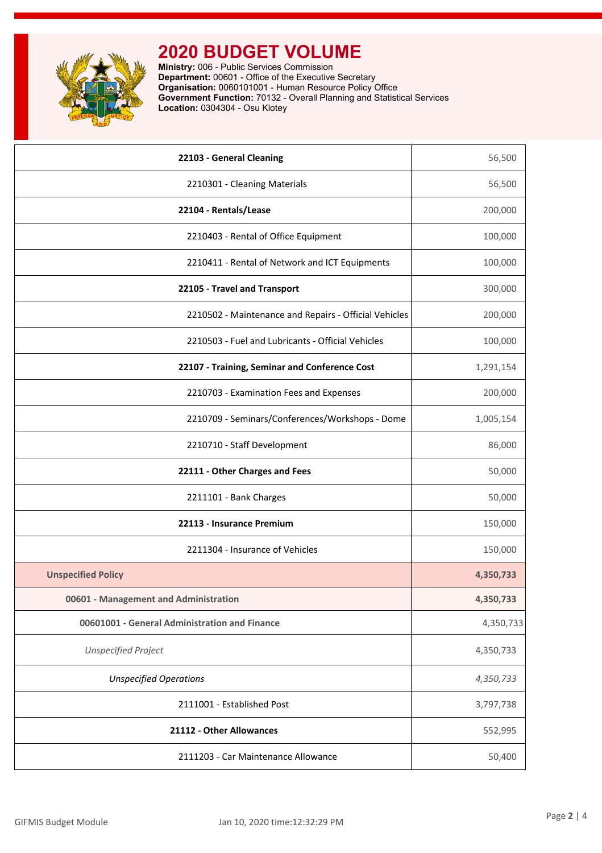

**Ministry:** 006 - Public Services Commission **Department:** 00601 - Office of the Executive Secretary **Organisation:** 0060101001 - Human Resource Policy Office **Government Function:** 70132 - Overall Planning and Statistical Services **Location:** 0304304 - Osu Klotey

| 22103 - General Cleaning                              | 56,500    |
|-------------------------------------------------------|-----------|
| 2210301 - Cleaning Materials                          | 56,500    |
| 22104 - Rentals/Lease                                 | 200,000   |
| 2210403 - Rental of Office Equipment                  | 100,000   |
| 2210411 - Rental of Network and ICT Equipments        | 100,000   |
| 22105 - Travel and Transport                          | 300,000   |
| 2210502 - Maintenance and Repairs - Official Vehicles | 200,000   |
| 2210503 - Fuel and Lubricants - Official Vehicles     | 100,000   |
| 22107 - Training, Seminar and Conference Cost         | 1,291,154 |
| 2210703 - Examination Fees and Expenses               | 200,000   |
| 2210709 - Seminars/Conferences/Workshops - Dome       | 1,005,154 |
| 2210710 - Staff Development                           | 86,000    |
| 22111 - Other Charges and Fees                        | 50,000    |
| 2211101 - Bank Charges                                | 50,000    |
| 22113 - Insurance Premium                             | 150,000   |
| 2211304 - Insurance of Vehicles                       | 150,000   |
| <b>Unspecified Policy</b>                             | 4,350,733 |
| 00601 - Management and Administration                 | 4,350,733 |
| 00601001 - General Administration and Finance         | 4,350,733 |
| <b>Unspecified Project</b>                            | 4,350,733 |
| <b>Unspecified Operations</b>                         | 4,350,733 |
| 2111001 - Established Post                            | 3,797,738 |
| 21112 - Other Allowances                              | 552,995   |
| 2111203 - Car Maintenance Allowance                   | 50,400    |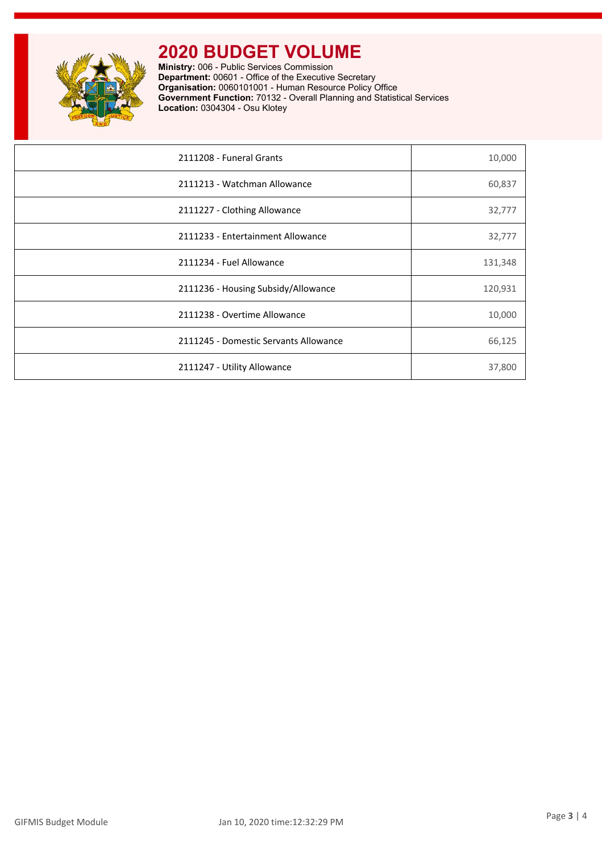

**Ministry:** 006 - Public Services Commission **Department:** 00601 - Office of the Executive Secretary **Organisation:** 0060101001 - Human Resource Policy Office **Government Function:** 70132 - Overall Planning and Statistical Services **Location:** 0304304 - Osu Klotey

| 2111208 - Funeral Grants              | 10,000  |
|---------------------------------------|---------|
| 2111213 - Watchman Allowance          | 60,837  |
| 2111227 - Clothing Allowance          | 32,777  |
| 2111233 - Entertainment Allowance     | 32,777  |
| 2111234 - Fuel Allowance              | 131,348 |
| 2111236 - Housing Subsidy/Allowance   | 120,931 |
| 2111238 - Overtime Allowance          | 10,000  |
| 2111245 - Domestic Servants Allowance | 66,125  |
| 2111247 - Utility Allowance           | 37,800  |